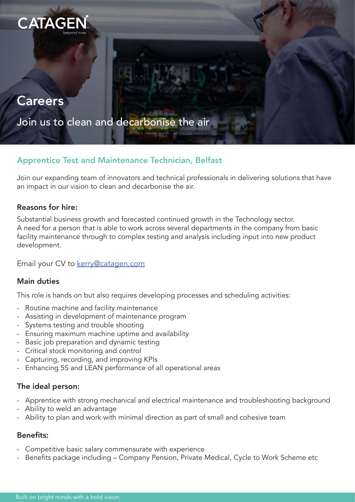

# **Careers**

Join us to clean and decarbonise the air

# Apprentice Test and Maintenance Technician, Belfast

Join our expanding team of innovators and technical professionals in delivering solutions that have an impact in our vision to clean and decarbonise the air.

## Reasons for hire:

Substantial business growth and forecasted continued growth in the Technology sector. A need for a person that is able to work across several departments in the company from basic facility maintenance through to complex testing and analysis including input into new product development.

Email your CV to [kerry@catagen.com](mailto:kerry%40catagen.com?subject=)

## Main duties

This role is hands on but also requires developing processes and scheduling activities:

- Routine machine and facility maintenance
- Assisting in development of maintenance program
- Systems testing and trouble shooting
- Ensuring maximum machine uptime and availability
- Basic job preparation and dynamic testing
- Critical stock monitoring and control
- Capturing, recording, and improving KPIs
- Enhancing 5S and LEAN performance of all operational areas

## The ideal person:

- Apprentice with strong mechanical and electrical maintenance and troubleshooting background
- Ability to weld an advantage
- Ability to plan and work with minimal direction as part of small and cohesive team

## Benefits:

- Competitive basic salary commensurate with experience
- Benefits package including Company Pension, Private Medical, Cycle to Work Scheme etc